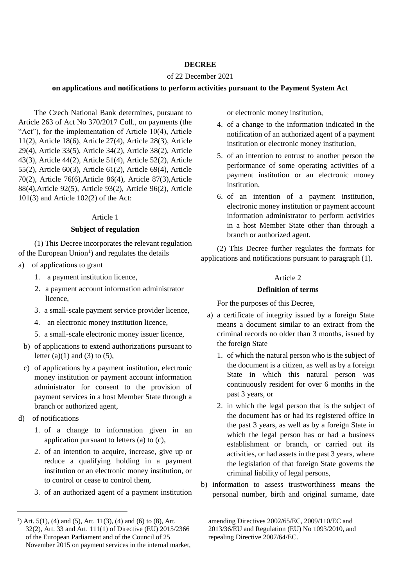#### **DECREE**

## of 22 December 2021

#### **on applications and notifications to perform activities pursuant to the Payment System Act**

The Czech National Bank determines, pursuant to Article 263 of Act No 370/2017 Coll., on payments (the "Act"), for the implementation of Article 10(4), Article 11(2), Article 18(6), Article 27(4), Article 28(3), Article 29(4), Article 33(5), Article 34(2), Article 38(2), Article 43(3), Article 44(2), Article 51(4), Article 52(2), Article 55(2), Article 60(3), Article 61(2), Article 69(4), Article 70(2), Article 76(6),Article 86(4), Article 87(3),Article 88(4),Article 92(5), Article 93(2), Article 96(2), Article 101(3) and Article 102(2) of the Act:

#### Article 1

#### **Subject of regulation**

(1) This Decree incorporates the relevant regulation of the European Union<sup>1</sup>) and regulates the details

- a) of applications to grant
	- 1. a payment institution licence,
	- 2. a payment account information administrator licence,
	- 3. a small-scale payment service provider licence,
	- 4. an electronic money institution licence,
	- 5. a small-scale electronic money issuer licence,
	- b) of applications to extend authorizations pursuant to letter  $(a)(1)$  and  $(3)$  to  $(5)$ ,
	- c) of applications by a payment institution, electronic money institution or payment account information administrator for consent to the provision of payment services in a host Member State through a branch or authorized agent,
- d) of notifications

 $\overline{a}$ 

- 1. of a change to information given in an application pursuant to letters (a) to (c),
- 2. of an intention to acquire, increase, give up or reduce a qualifying holding in a payment institution or an electronic money institution, or to control or cease to control them,
- 3. of an authorized agent of a payment institution

or electronic money institution,

- 4. of a change to the information indicated in the notification of an authorized agent of a payment institution or electronic money institution,
- 5. of an intention to entrust to another person the performance of some operating activities of a payment institution or an electronic money institution,
- 6. of an intention of a payment institution, electronic money institution or payment account information administrator to perform activities in a host Member State other than through a branch or authorized agent.

(2) This Decree further regulates the formats for applications and notifications pursuant to paragraph (1).

#### Article 2

## **Definition of terms**

For the purposes of this Decree,

- a) a certificate of integrity issued by a foreign State means a document similar to an extract from the criminal records no older than 3 months, issued by the foreign State
	- 1. of which the natural person who is the subject of the document is a citizen, as well as by a foreign State in which this natural person was continuously resident for over 6 months in the past 3 years, or
	- 2. in which the legal person that is the subject of the document has or had its registered office in the past 3 years, as well as by a foreign State in which the legal person has or had a business establishment or branch, or carried out its activities, or had assets in the past 3 years, where the legislation of that foreign State governs the criminal liability of legal persons,
- b) information to assess trustworthiness means the personal number, birth and original surname, date

<sup>&</sup>lt;sup>1</sup>) Art. 5(1), (4) and (5), Art. 11(3), (4) and (6) to (8), Art. 32(2), Art. 33 and Art. 111(1) of Directive (EU) 2015/2366 of the European Parliament and of the Council of 25 November 2015 on payment services in the internal market,

amending Directives 2002/65/EC, 2009/110/EC and 2013/36/EU and Regulation (EU) No 1093/2010, and repealing Directive 2007/64/EC.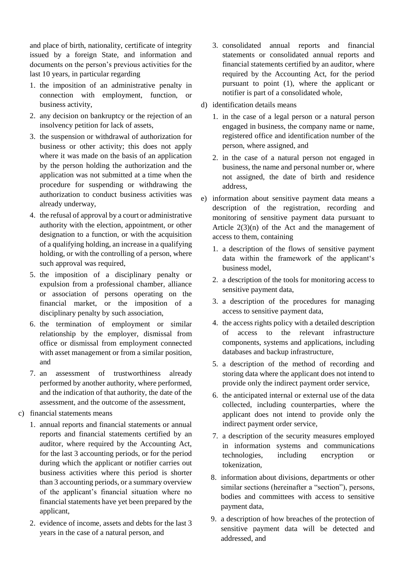and place of birth, nationality, certificate of integrity issued by a foreign State, and information and documents on the person's previous activities for the last 10 years, in particular regarding

- 1. the imposition of an administrative penalty in connection with employment, function, or business activity,
- 2. any decision on bankruptcy or the rejection of an insolvency petition for lack of assets,
- 3. the suspension or withdrawal of authorization for business or other activity; this does not apply where it was made on the basis of an application by the person holding the authorization and the application was not submitted at a time when the procedure for suspending or withdrawing the authorization to conduct business activities was already underway,
- 4. the refusal of approval by a court or administrative authority with the election, appointment, or other designation to a function, or with the acquisition of a qualifying holding, an increase in a qualifying holding, or with the controlling of a person, where such approval was required,
- 5. the imposition of a disciplinary penalty or expulsion from a professional chamber, alliance or association of persons operating on the financial market, or the imposition of a disciplinary penalty by such association,
- 6. the termination of employment or similar relationship by the employer, dismissal from office or dismissal from employment connected with asset management or from a similar position, and
- 7. an assessment of trustworthiness already performed by another authority, where performed, and the indication of that authority, the date of the assessment, and the outcome of the assessment,
- c) financial statements means
	- 1. annual reports and financial statements or annual reports and financial statements certified by an auditor, where required by the Accounting Act, for the last 3 accounting periods, or for the period during which the applicant or notifier carries out business activities where this period is shorter than 3 accounting periods, or a summary overview of the applicant's financial situation where no financial statements have yet been prepared by the applicant,
	- 2. evidence of income, assets and debts for the last 3 years in the case of a natural person, and
- 3. consolidated annual reports and financial statements or consolidated annual reports and financial statements certified by an auditor, where required by the Accounting Act, for the period pursuant to point (1), where the applicant or notifier is part of a consolidated whole,
- d) identification details means
	- 1. in the case of a legal person or a natural person engaged in business, the company name or name, registered office and identification number of the person, where assigned, and
	- 2. in the case of a natural person not engaged in business, the name and personal number or, where not assigned, the date of birth and residence address,
- e) information about sensitive payment data means a description of the registration, recording and monitoring of sensitive payment data pursuant to Article  $2(3)(n)$  of the Act and the management of access to them, containing
	- 1. a description of the flows of sensitive payment data within the framework of the applicant's business model,
	- 2. a description of the tools for monitoring access to sensitive payment data,
	- 3. a description of the procedures for managing access to sensitive payment data,
	- 4. the access rights policy with a detailed description of access to the relevant infrastructure components, systems and applications, including databases and backup infrastructure,
	- 5. a description of the method of recording and storing data where the applicant does not intend to provide only the indirect payment order service,
	- 6. the anticipated internal or external use of the data collected, including counterparties, where the applicant does not intend to provide only the indirect payment order service,
	- 7. a description of the security measures employed in information systems and communications technologies, including encryption or tokenization,
	- 8. information about divisions, departments or other similar sections (hereinafter a "section"), persons, bodies and committees with access to sensitive payment data,
	- 9. a description of how breaches of the protection of sensitive payment data will be detected and addressed, and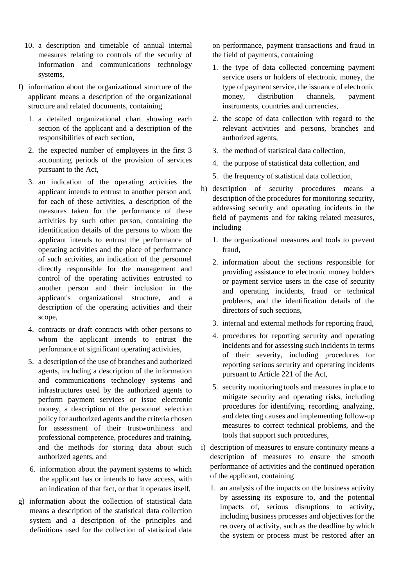- 10. a description and timetable of annual internal measures relating to controls of the security of information and communications technology systems,
- f) information about the organizational structure of the applicant means a description of the organizational structure and related documents, containing
	- 1. a detailed organizational chart showing each section of the applicant and a description of the responsibilities of each section,
	- 2. the expected number of employees in the first 3 accounting periods of the provision of services pursuant to the Act,
	- 3. an indication of the operating activities the applicant intends to entrust to another person and, for each of these activities, a description of the measures taken for the performance of these activities by such other person, containing the identification details of the persons to whom the applicant intends to entrust the performance of operating activities and the place of performance of such activities, an indication of the personnel directly responsible for the management and control of the operating activities entrusted to another person and their inclusion in the applicant's organizational structure, and a description of the operating activities and their scope,
	- 4. contracts or draft contracts with other persons to whom the applicant intends to entrust the performance of significant operating activities,
	- 5. a description of the use of branches and authorized agents, including a description of the information and communications technology systems and infrastructures used by the authorized agents to perform payment services or issue electronic money, a description of the personnel selection policy for authorized agents and the criteria chosen for assessment of their trustworthiness and professional competence, procedures and training, and the methods for storing data about such authorized agents, and
	- 6. information about the payment systems to which the applicant has or intends to have access, with an indication of that fact, or that it operates itself,
- g) information about the collection of statistical data means a description of the statistical data collection system and a description of the principles and definitions used for the collection of statistical data

on performance, payment transactions and fraud in the field of payments, containing

- 1. the type of data collected concerning payment service users or holders of electronic money, the type of payment service, the issuance of electronic money, distribution channels, payment instruments, countries and currencies,
- 2. the scope of data collection with regard to the relevant activities and persons, branches and authorized agents,
- 3. the method of statistical data collection,
- 4. the purpose of statistical data collection, and
- 5. the frequency of statistical data collection,
- h) description of security procedures means a description of the procedures for monitoring security, addressing security and operating incidents in the field of payments and for taking related measures, including
	- 1. the organizational measures and tools to prevent fraud,
	- 2. information about the sections responsible for providing assistance to electronic money holders or payment service users in the case of security and operating incidents, fraud or technical problems, and the identification details of the directors of such sections,
	- 3. internal and external methods for reporting fraud,
	- 4. procedures for reporting security and operating incidents and for assessing such incidents in terms of their severity, including procedures for reporting serious security and operating incidents pursuant to Article 221 of the Act,
	- 5. security monitoring tools and measures in place to mitigate security and operating risks, including procedures for identifying, recording, analyzing, and detecting causes and implementing follow-up measures to correct technical problems, and the tools that support such procedures,
- i) description of measures to ensure continuity means a description of measures to ensure the smooth performance of activities and the continued operation of the applicant, containing
	- 1. an analysis of the impacts on the business activity by assessing its exposure to, and the potential impacts of, serious disruptions to activity, including business processes and objectives for the recovery of activity, such as the deadline by which the system or process must be restored after an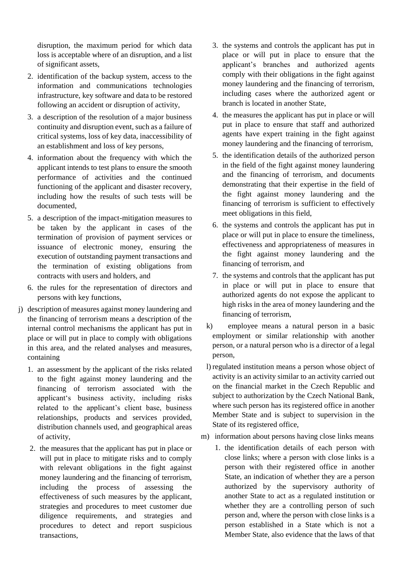disruption, the maximum period for which data loss is acceptable where of an disruption, and a list of significant assets,

- 2. identification of the backup system, access to the information and communications technologies infrastructure, key software and data to be restored following an accident or disruption of activity,
- 3. a description of the resolution of a major business continuity and disruption event, such as a failure of critical systems, loss of key data, inaccessibility of an establishment and loss of key persons,
- 4. information about the frequency with which the applicant intends to test plans to ensure the smooth performance of activities and the continued functioning of the applicant and disaster recovery, including how the results of such tests will be documented,
- 5. a description of the impact-mitigation measures to be taken by the applicant in cases of the termination of provision of payment services or issuance of electronic money, ensuring the execution of outstanding payment transactions and the termination of existing obligations from contracts with users and holders, and
- 6. the rules for the representation of directors and persons with key functions,
- j) description of measures against money laundering and the financing of terrorism means a description of the internal control mechanisms the applicant has put in place or will put in place to comply with obligations in this area, and the related analyses and measures, containing
	- 1. an assessment by the applicant of the risks related to the fight against money laundering and the financing of terrorism associated with the applicant's business activity, including risks related to the applicant's client base, business relationships, products and services provided, distribution channels used, and geographical areas of activity,
	- 2. the measures that the applicant has put in place or will put in place to mitigate risks and to comply with relevant obligations in the fight against money laundering and the financing of terrorism, including the process of assessing the effectiveness of such measures by the applicant, strategies and procedures to meet customer due diligence requirements, and strategies and procedures to detect and report suspicious transactions,
- 3. the systems and controls the applicant has put in place or will put in place to ensure that the applicant's branches and authorized agents comply with their obligations in the fight against money laundering and the financing of terrorism, including cases where the authorized agent or branch is located in another State,
- 4. the measures the applicant has put in place or will put in place to ensure that staff and authorized agents have expert training in the fight against money laundering and the financing of terrorism,
- 5. the identification details of the authorized person in the field of the fight against money laundering and the financing of terrorism, and documents demonstrating that their expertise in the field of the fight against money laundering and the financing of terrorism is sufficient to effectively meet obligations in this field,
- 6. the systems and controls the applicant has put in place or will put in place to ensure the timeliness, effectiveness and appropriateness of measures in the fight against money laundering and the financing of terrorism, and
- 7. the systems and controls that the applicant has put in place or will put in place to ensure that authorized agents do not expose the applicant to high risks in the area of money laundering and the financing of terrorism,
- k) employee means a natural person in a basic employment or similar relationship with another person, or a natural person who is a director of a legal person,
- l) regulated institution means a person whose object of activity is an activity similar to an activity carried out on the financial market in the Czech Republic and subject to authorization by the Czech National Bank, where such person has its registered office in another Member State and is subject to supervision in the State of its registered office,
- m) information about persons having close links means
	- 1. the identification details of each person with close links; where a person with close links is a person with their registered office in another State, an indication of whether they are a person authorized by the supervisory authority of another State to act as a regulated institution or whether they are a controlling person of such person and, where the person with close links is a person established in a State which is not a Member State, also evidence that the laws of that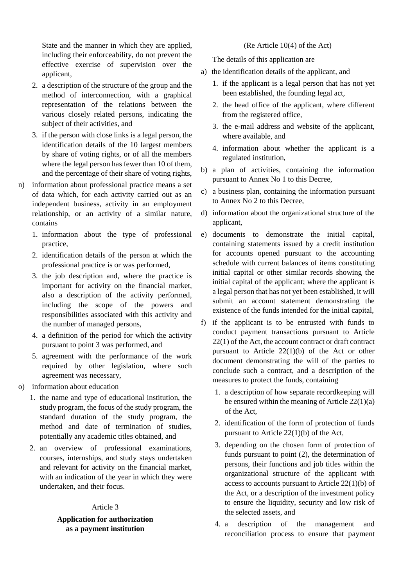State and the manner in which they are applied, including their enforceability, do not prevent the effective exercise of supervision over the applicant,

- 2. a description of the structure of the group and the method of interconnection, with a graphical representation of the relations between the various closely related persons, indicating the subject of their activities, and
- 3. if the person with close links is a legal person, the identification details of the 10 largest members by share of voting rights, or of all the members where the legal person has fewer than 10 of them. and the percentage of their share of voting rights,
- n) information about professional practice means a set of data which, for each activity carried out as an independent business, activity in an employment relationship, or an activity of a similar nature, contains
	- 1. information about the type of professional practice,
	- 2. identification details of the person at which the professional practice is or was performed,
	- 3. the job description and, where the practice is important for activity on the financial market, also a description of the activity performed, including the scope of the powers and responsibilities associated with this activity and the number of managed persons,
	- 4. a definition of the period for which the activity pursuant to point 3 was performed, and
	- 5. agreement with the performance of the work required by other legislation, where such agreement was necessary,
- o) information about education
	- 1. the name and type of educational institution, the study program, the focus of the study program, the standard duration of the study program, the method and date of termination of studies, potentially any academic titles obtained, and
	- 2. an overview of professional examinations, courses, internships, and study stays undertaken and relevant for activity on the financial market, with an indication of the year in which they were undertaken, and their focus.

#### Article 3

## **Application for authorization as a payment institution**

#### (Re Article 10(4) of the Act)

The details of this application are

- a) the identification details of the applicant, and
	- 1. if the applicant is a legal person that has not yet been established, the founding legal act,
	- 2. the head office of the applicant, where different from the registered office,
	- 3. the e-mail address and website of the applicant, where available, and
	- 4. information about whether the applicant is a regulated institution,
- b) a plan of activities, containing the information pursuant to Annex No 1 to this Decree,
- c) a business plan, containing the information pursuant to Annex No 2 to this Decree,
- d) information about the organizational structure of the applicant,
- e) documents to demonstrate the initial capital, containing statements issued by a credit institution for accounts opened pursuant to the accounting schedule with current balances of items constituting initial capital or other similar records showing the initial capital of the applicant; where the applicant is a legal person that has not yet been established, it will submit an account statement demonstrating the existence of the funds intended for the initial capital,
- f) if the applicant is to be entrusted with funds to conduct payment transactions pursuant to Article 22(1) of the Act, the account contract or draft contract pursuant to Article 22(1)(b) of the Act or other document demonstrating the will of the parties to conclude such a contract, and a description of the measures to protect the funds, containing
	- 1. a description of how separate recordkeeping will be ensured within the meaning of Article 22(1)(a) of the Act,
	- 2. identification of the form of protection of funds pursuant to Article 22(1)(b) of the Act,
	- 3. depending on the chosen form of protection of funds pursuant to point (2), the determination of persons, their functions and job titles within the organizational structure of the applicant with access to accounts pursuant to Article 22(1)(b) of the Act, or a description of the investment policy to ensure the liquidity, security and low risk of the selected assets, and
	- 4. a description of the management and reconciliation process to ensure that payment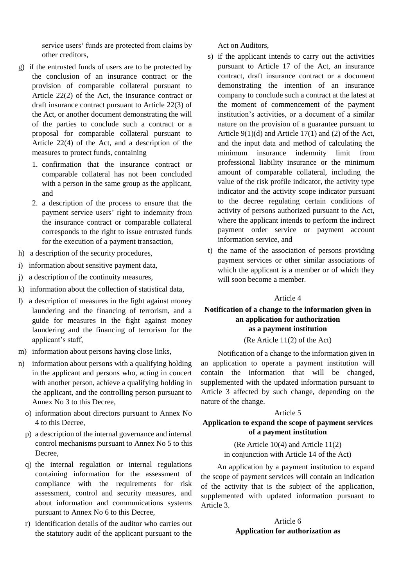service users' funds are protected from claims by other creditors,

- g) if the entrusted funds of users are to be protected by the conclusion of an insurance contract or the provision of comparable collateral pursuant to Article 22(2) of the Act, the insurance contract or draft insurance contract pursuant to Article 22(3) of the Act, or another document demonstrating the will of the parties to conclude such a contract or a proposal for comparable collateral pursuant to Article 22(4) of the Act, and a description of the measures to protect funds, containing
	- 1. confirmation that the insurance contract or comparable collateral has not been concluded with a person in the same group as the applicant, and
	- 2. a description of the process to ensure that the payment service users' right to indemnity from the insurance contract or comparable collateral corresponds to the right to issue entrusted funds for the execution of a payment transaction,
- h) a description of the security procedures,
- i) information about sensitive payment data,
- j) a description of the continuity measures,
- k) information about the collection of statistical data,
- l) a description of measures in the fight against money laundering and the financing of terrorism, and a guide for measures in the fight against money laundering and the financing of terrorism for the applicant's staff,
- m) information about persons having close links,
- n) information about persons with a qualifying holding in the applicant and persons who, acting in concert with another person, achieve a qualifying holding in the applicant, and the controlling person pursuant to Annex No 3 to this Decree,
	- o) information about directors pursuant to Annex No 4 to this Decree,
	- p) a description of the internal governance and internal control mechanisms pursuant to Annex No 5 to this Decree,
	- q) the internal regulation or internal regulations containing information for the assessment of compliance with the requirements for risk assessment, control and security measures, and about information and communications systems pursuant to Annex No 6 to this Decree,
	- r) identification details of the auditor who carries out the statutory audit of the applicant pursuant to the

Act on Auditors,

- s) if the applicant intends to carry out the activities pursuant to Article 17 of the Act, an insurance contract, draft insurance contract or a document demonstrating the intention of an insurance company to conclude such a contract at the latest at the moment of commencement of the payment institution's activities, or a document of a similar nature on the provision of a guarantee pursuant to Article 9(1)(d) and Article 17(1) and (2) of the Act, and the input data and method of calculating the minimum insurance indemnity limit from professional liability insurance or the minimum amount of comparable collateral, including the value of the risk profile indicator, the activity type indicator and the activity scope indicator pursuant to the decree regulating certain conditions of activity of persons authorized pursuant to the Act, where the applicant intends to perform the indirect payment order service or payment account information service, and
- t) the name of the association of persons providing payment services or other similar associations of which the applicant is a member or of which they will soon become a member.

#### Article 4

## **Notification of a change to the information given in an application for authorization as a payment institution**

#### (Re Article 11(2) of the Act)

Notification of a change to the information given in an application to operate a payment institution will contain the information that will be changed, supplemented with the updated information pursuant to Article 3 affected by such change, depending on the nature of the change.

#### Article 5

## **Application to expand the scope of payment services of a payment institution**

(Re Article 10(4) and Article 11(2) in conjunction with Article 14 of the Act)

An application by a payment institution to expand the scope of payment services will contain an indication of the activity that is the subject of the application, supplemented with updated information pursuant to Article 3.

## Article 6 **Application for authorization as**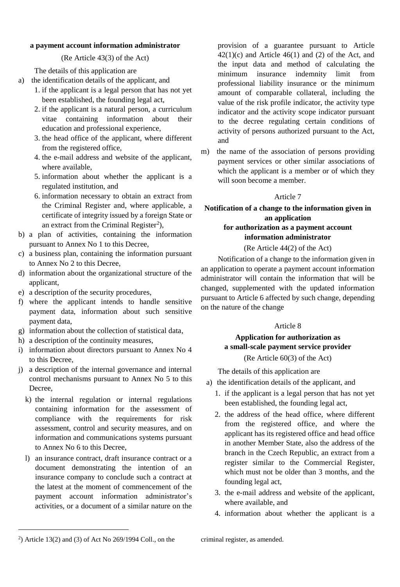## **a payment account information administrator**

(Re Article 43(3) of the Act)

The details of this application are

- a) the identification details of the applicant, and
	- 1. if the applicant is a legal person that has not yet been established, the founding legal act,
	- 2. if the applicant is a natural person, a curriculum vitae containing information about their education and professional experience,
	- 3. the head office of the applicant, where different from the registered office,
	- 4. the e-mail address and website of the applicant, where available,
	- 5. information about whether the applicant is a regulated institution, and
	- 6. information necessary to obtain an extract from the Criminal Register and, where applicable, a certificate of integrity issued by a foreign State or an extract from the Criminal Register<sup>2</sup>),
- b) a plan of activities, containing the information pursuant to Annex No 1 to this Decree,
- c) a business plan, containing the information pursuant to Annex No 2 to this Decree,
- d) information about the organizational structure of the applicant,
- e) a description of the security procedures,
- f) where the applicant intends to handle sensitive payment data, information about such sensitive payment data,
- g) information about the collection of statistical data,
- h) a description of the continuity measures,
- i) information about directors pursuant to Annex No 4 to this Decree,
- j) a description of the internal governance and internal control mechanisms pursuant to Annex No 5 to this Decree,
	- k) the internal regulation or internal regulations containing information for the assessment of compliance with the requirements for risk assessment, control and security measures, and on information and communications systems pursuant to Annex No 6 to this Decree,
	- l) an insurance contract, draft insurance contract or a document demonstrating the intention of an insurance company to conclude such a contract at the latest at the moment of commencement of the payment account information administrator's activities, or a document of a similar nature on the

provision of a guarantee pursuant to Article  $42(1)(c)$  and Article  $46(1)$  and (2) of the Act, and the input data and method of calculating the minimum insurance indemnity limit from professional liability insurance or the minimum amount of comparable collateral, including the value of the risk profile indicator, the activity type indicator and the activity scope indicator pursuant to the decree regulating certain conditions of activity of persons authorized pursuant to the Act, and

m) the name of the association of persons providing payment services or other similar associations of which the applicant is a member or of which they will soon become a member.

#### Article 7

## **Notification of a change to the information given in an application for authorization as a payment account information administrator**

## (Re Article 44(2) of the Act)

Notification of a change to the information given in an application to operate a payment account information administrator will contain the information that will be changed, supplemented with the updated information pursuant to Article 6 affected by such change, depending on the nature of the change

#### Article 8

# **Application for authorization as a small-scale payment service provider** (Re Article 60(3) of the Act)

The details of this application are

- a) the identification details of the applicant, and
	- 1. if the applicant is a legal person that has not yet been established, the founding legal act,
	- 2. the address of the head office, where different from the registered office, and where the applicant has its registered office and head office in another Member State, also the address of the branch in the Czech Republic, an extract from a register similar to the Commercial Register, which must not be older than 3 months, and the founding legal act,
	- 3. the e-mail address and website of the applicant, where available, and
	- 4. information about whether the applicant is a

l

<sup>2</sup> ) Article 13(2) and (3) of Act No 269/1994 Coll., on the

criminal register, as amended.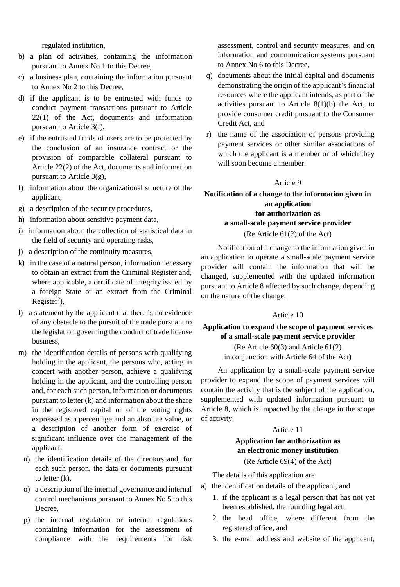regulated institution,

- b) a plan of activities, containing the information pursuant to Annex No 1 to this Decree,
- c) a business plan, containing the information pursuant to Annex No 2 to this Decree,
- d) if the applicant is to be entrusted with funds to conduct payment transactions pursuant to Article 22(1) of the Act, documents and information pursuant to Article 3(f),
- e) if the entrusted funds of users are to be protected by the conclusion of an insurance contract or the provision of comparable collateral pursuant to Article 22(2) of the Act, documents and information pursuant to Article 3(g),
- f) information about the organizational structure of the applicant,
- g) a description of the security procedures,
- h) information about sensitive payment data,
- i) information about the collection of statistical data in the field of security and operating risks,
- j) a description of the continuity measures,
- k) in the case of a natural person, information necessary to obtain an extract from the Criminal Register and, where applicable, a certificate of integrity issued by a foreign State or an extract from the Criminal  $Register<sup>2</sup>$ ),
- l) a statement by the applicant that there is no evidence of any obstacle to the pursuit of the trade pursuant to the legislation governing the conduct of trade license business,
- m) the identification details of persons with qualifying holding in the applicant, the persons who, acting in concert with another person, achieve a qualifying holding in the applicant, and the controlling person and, for each such person, information or documents pursuant to letter (k) and information about the share in the registered capital or of the voting rights expressed as a percentage and an absolute value, or a description of another form of exercise of significant influence over the management of the applicant,
	- n) the identification details of the directors and, for each such person, the data or documents pursuant to letter (k),
	- o) a description of the internal governance and internal control mechanisms pursuant to Annex No 5 to this Decree,
	- p) the internal regulation or internal regulations containing information for the assessment of compliance with the requirements for risk

assessment, control and security measures, and on information and communication systems pursuant to Annex No 6 to this Decree,

- q) documents about the initial capital and documents demonstrating the origin of the applicant's financial resources where the applicant intends, as part of the activities pursuant to Article  $8(1)(b)$  the Act, to provide consumer credit pursuant to the Consumer Credit Act, and
- r) the name of the association of persons providing payment services or other similar associations of which the applicant is a member or of which they will soon become a member.

#### Article 9

# **Notification of a change to the information given in an application for authorization as a small-scale payment service provider**

## (Re Article 61(2) of the Act)

Notification of a change to the information given in an application to operate a small-scale payment service provider will contain the information that will be changed, supplemented with the updated information pursuant to Article 8 affected by such change, depending on the nature of the change.

## Article 10

## **Application to expand the scope of payment services of a small-scale payment service provider**

(Re Article 60(3) and Article 61(2) in conjunction with Article 64 of the Act)

An application by a small-scale payment service provider to expand the scope of payment services will contain the activity that is the subject of the application, supplemented with updated information pursuant to Article 8, which is impacted by the change in the scope of activity.

#### Article 11

## **Application for authorization as an electronic money institution** (Re Article 69(4) of the Act)

The details of this application are

- a) the identification details of the applicant, and
	- 1. if the applicant is a legal person that has not yet been established, the founding legal act,
	- 2. the head office, where different from the registered office, and
	- 3. the e-mail address and website of the applicant,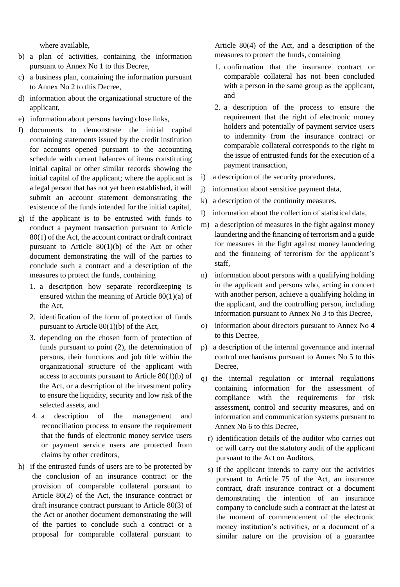where available,

- b) a plan of activities, containing the information pursuant to Annex No 1 to this Decree,
- c) a business plan, containing the information pursuant to Annex No 2 to this Decree,
- d) information about the organizational structure of the applicant,
- e) information about persons having close links,
- f) documents to demonstrate the initial capital containing statements issued by the credit institution for accounts opened pursuant to the accounting schedule with current balances of items constituting initial capital or other similar records showing the initial capital of the applicant; where the applicant is a legal person that has not yet been established, it will submit an account statement demonstrating the existence of the funds intended for the initial capital,
- g) if the applicant is to be entrusted with funds to conduct a payment transaction pursuant to Article 80(1) of the Act, the account contract or draft contract pursuant to Article 80(1)(b) of the Act or other document demonstrating the will of the parties to conclude such a contract and a description of the measures to protect the funds, containing
	- 1. a description how separate recordkeeping is ensured within the meaning of Article 80(1)(a) of the Act,
	- 2. identification of the form of protection of funds pursuant to Article 80(1)(b) of the Act,
	- 3. depending on the chosen form of protection of funds pursuant to point (2), the determination of persons, their functions and job title within the organizational structure of the applicant with access to accounts pursuant to Article 80(1)(b) of the Act, or a description of the investment policy to ensure the liquidity, security and low risk of the selected assets, and
	- 4. a description of the management and reconciliation process to ensure the requirement that the funds of electronic money service users or payment service users are protected from claims by other creditors,
- h) if the entrusted funds of users are to be protected by the conclusion of an insurance contract or the provision of comparable collateral pursuant to Article 80(2) of the Act, the insurance contract or draft insurance contract pursuant to Article 80(3) of the Act or another document demonstrating the will of the parties to conclude such a contract or a proposal for comparable collateral pursuant to

Article 80(4) of the Act, and a description of the measures to protect the funds, containing

- 1. confirmation that the insurance contract or comparable collateral has not been concluded with a person in the same group as the applicant, and
- 2. a description of the process to ensure the requirement that the right of electronic money holders and potentially of payment service users to indemnity from the insurance contract or comparable collateral corresponds to the right to the issue of entrusted funds for the execution of a payment transaction,
- i) a description of the security procedures,
- j) information about sensitive payment data,
- k) a description of the continuity measures,
- l) information about the collection of statistical data,
- m) a description of measures in the fight against money laundering and the financing of terrorism and a guide for measures in the fight against money laundering and the financing of terrorism for the applicant's staff,
- n) information about persons with a qualifying holding in the applicant and persons who, acting in concert with another person, achieve a qualifying holding in the applicant, and the controlling person, including information pursuant to Annex No 3 to this Decree,
- o) information about directors pursuant to Annex No 4 to this Decree,
- p) a description of the internal governance and internal control mechanisms pursuant to Annex No 5 to this Decree,
- q) the internal regulation or internal regulations containing information for the assessment of compliance with the requirements for risk assessment, control and security measures, and on information and communication systems pursuant to Annex No 6 to this Decree,
	- r) identification details of the auditor who carries out or will carry out the statutory audit of the applicant pursuant to the Act on Auditors,
	- s) if the applicant intends to carry out the activities pursuant to Article 75 of the Act, an insurance contract, draft insurance contract or a document demonstrating the intention of an insurance company to conclude such a contract at the latest at the moment of commencement of the electronic money institution's activities, or a document of a similar nature on the provision of a guarantee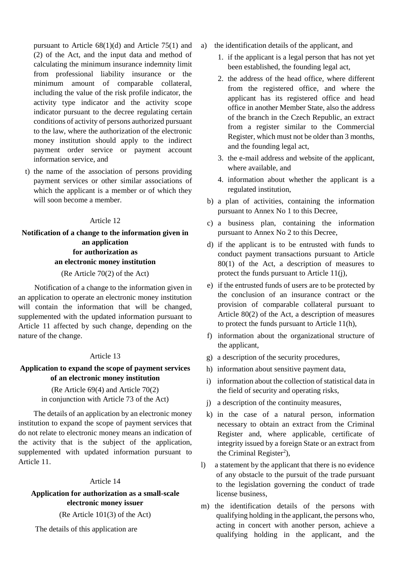pursuant to Article 68(1)(d) and Article 75(1) and (2) of the Act, and the input data and method of calculating the minimum insurance indemnity limit from professional liability insurance or the minimum amount of comparable collateral, including the value of the risk profile indicator, the activity type indicator and the activity scope indicator pursuant to the decree regulating certain conditions of activity of persons authorized pursuant to the law, where the authorization of the electronic money institution should apply to the indirect payment order service or payment account information service, and

t) the name of the association of persons providing payment services or other similar associations of which the applicant is a member or of which they will soon become a member.

#### Article 12

# **Notification of a change to the information given in an application for authorization as an electronic money institution**

(Re Article 70(2) of the Act)

Notification of a change to the information given in an application to operate an electronic money institution will contain the information that will be changed, supplemented with the updated information pursuant to Article 11 affected by such change, depending on the nature of the change.

### Article 13

## **Application to expand the scope of payment services of an electronic money institution**

## (Re Article 69(4) and Article 70(2) in conjunction with Article 73 of the Act)

The details of an application by an electronic money institution to expand the scope of payment services that do not relate to electronic money means an indication of the activity that is the subject of the application, supplemented with updated information pursuant to Article 11.

#### Article 14

## **Application for authorization as a small-scale electronic money issuer**

(Re Article 101(3) of the Act)

The details of this application are

- a) the identification details of the applicant, and
	- 1. if the applicant is a legal person that has not yet been established, the founding legal act,
	- 2. the address of the head office, where different from the registered office, and where the applicant has its registered office and head office in another Member State, also the address of the branch in the Czech Republic, an extract from a register similar to the Commercial Register, which must not be older than 3 months, and the founding legal act,
	- 3. the e-mail address and website of the applicant, where available, and
	- 4. information about whether the applicant is a regulated institution,
	- b) a plan of activities, containing the information pursuant to Annex No 1 to this Decree,
	- c) a business plan, containing the information pursuant to Annex No 2 to this Decree,
	- d) if the applicant is to be entrusted with funds to conduct payment transactions pursuant to Article 80(1) of the Act, a description of measures to protect the funds pursuant to Article 11(j),
	- e) if the entrusted funds of users are to be protected by the conclusion of an insurance contract or the provision of comparable collateral pursuant to Article 80(2) of the Act, a description of measures to protect the funds pursuant to Article 11(h),
	- f) information about the organizational structure of the applicant,
	- g) a description of the security procedures,
	- h) information about sensitive payment data,
	- i) information about the collection of statistical data in the field of security and operating risks,
	- j) a description of the continuity measures,
	- k) in the case of a natural person, information necessary to obtain an extract from the Criminal Register and, where applicable, certificate of integrity issued by a foreign State or an extract from the Criminal Register<sup>2</sup>),
- l) a statement by the applicant that there is no evidence of any obstacle to the pursuit of the trade pursuant to the legislation governing the conduct of trade license business,
- m) the identification details of the persons with qualifying holding in the applicant, the persons who, acting in concert with another person, achieve a qualifying holding in the applicant, and the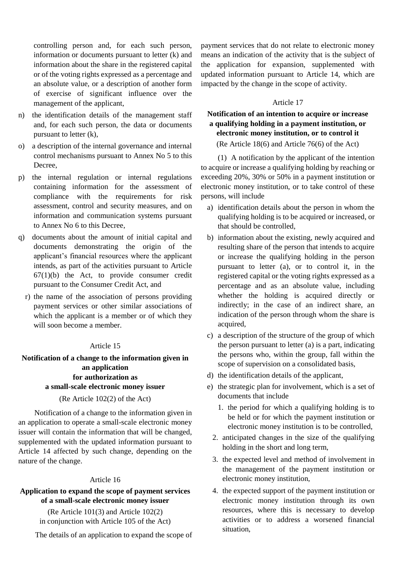controlling person and, for each such person, information or documents pursuant to letter (k) and information about the share in the registered capital or of the voting rights expressed as a percentage and an absolute value, or a description of another form of exercise of significant influence over the management of the applicant,

- n) the identification details of the management staff and, for each such person, the data or documents pursuant to letter (k),
- o) a description of the internal governance and internal control mechanisms pursuant to Annex No 5 to this Decree,
- p) the internal regulation or internal regulations containing information for the assessment of compliance with the requirements for risk assessment, control and security measures, and on information and communication systems pursuant to Annex No 6 to this Decree,
- q) documents about the amount of initial capital and documents demonstrating the origin of the applicant's financial resources where the applicant intends, as part of the activities pursuant to Article  $67(1)(b)$  the Act, to provide consumer credit pursuant to the Consumer Credit Act, and
	- r) the name of the association of persons providing payment services or other similar associations of which the applicant is a member or of which they will soon become a member.

## Article 15

## **Notification of a change to the information given in an application for authorization as a small-scale electronic money issuer**

#### (Re Article 102(2) of the Act)

Notification of a change to the information given in an application to operate a small-scale electronic money issuer will contain the information that will be changed, supplemented with the updated information pursuant to Article 14 affected by such change, depending on the nature of the change.

#### Article 16

## **Application to expand the scope of payment services of a small-scale electronic money issuer**

(Re Article 101(3) and Article 102(2) in conjunction with Article 105 of the Act)

The details of an application to expand the scope of

payment services that do not relate to electronic money means an indication of the activity that is the subject of the application for expansion, supplemented with updated information pursuant to Article 14, which are impacted by the change in the scope of activity.

## Article 17

# **Notification of an intention to acquire or increase a qualifying holding in a payment institution, or electronic money institution, or to control it**

(Re Article 18(6) and Article 76(6) of the Act)

(1) A notification by the applicant of the intention to acquire or increase a qualifying holding by reaching or exceeding 20%, 30% or 50% in a payment institution or electronic money institution, or to take control of these persons, will include

- a) identification details about the person in whom the qualifying holding is to be acquired or increased, or that should be controlled,
- b) information about the existing, newly acquired and resulting share of the person that intends to acquire or increase the qualifying holding in the person pursuant to letter (a), or to control it, in the registered capital or the voting rights expressed as a percentage and as an absolute value, including whether the holding is acquired directly or indirectly; in the case of an indirect share, an indication of the person through whom the share is acquired,
- c) a description of the structure of the group of which the person pursuant to letter (a) is a part, indicating the persons who, within the group, fall within the scope of supervision on a consolidated basis,
- d) the identification details of the applicant,
- e) the strategic plan for involvement, which is a set of documents that include
	- 1. the period for which a qualifying holding is to be held or for which the payment institution or electronic money institution is to be controlled,
	- 2. anticipated changes in the size of the qualifying holding in the short and long term,
	- 3. the expected level and method of involvement in the management of the payment institution or electronic money institution,
	- 4. the expected support of the payment institution or electronic money institution through its own resources, where this is necessary to develop activities or to address a worsened financial situation,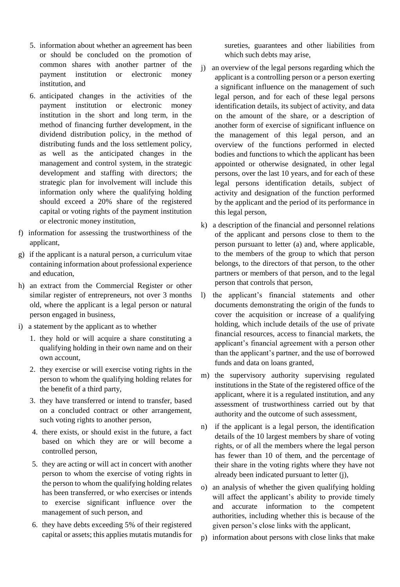- 5. information about whether an agreement has been or should be concluded on the promotion of common shares with another partner of the payment institution or electronic money institution, and
- 6. anticipated changes in the activities of the payment institution or electronic money institution in the short and long term, in the method of financing further development, in the dividend distribution policy, in the method of distributing funds and the loss settlement policy, as well as the anticipated changes in the management and control system, in the strategic development and staffing with directors; the strategic plan for involvement will include this information only where the qualifying holding should exceed a 20% share of the registered capital or voting rights of the payment institution or electronic money institution,
- f) information for assessing the trustworthiness of the applicant,
- g) if the applicant is a natural person, a curriculum vitae containing information about professional experience and education,
- h) an extract from the Commercial Register or other similar register of entrepreneurs, not over 3 months old, where the applicant is a legal person or natural person engaged in business,
- i) a statement by the applicant as to whether
	- 1. they hold or will acquire a share constituting a qualifying holding in their own name and on their own account,
	- 2. they exercise or will exercise voting rights in the person to whom the qualifying holding relates for the benefit of a third party,
	- 3. they have transferred or intend to transfer, based on a concluded contract or other arrangement, such voting rights to another person,
	- 4. there exists, or should exist in the future, a fact based on which they are or will become a controlled person,
	- 5. they are acting or will act in concert with another person to whom the exercise of voting rights in the person to whom the qualifying holding relates has been transferred, or who exercises or intends to exercise significant influence over the management of such person, and
	- 6. they have debts exceeding 5% of their registered capital or assets; this applies mutatis mutandis for

sureties, guarantees and other liabilities from which such debts may arise,

- j) an overview of the legal persons regarding which the applicant is a controlling person or a person exerting a significant influence on the management of such legal person, and for each of these legal persons identification details, its subject of activity, and data on the amount of the share, or a description of another form of exercise of significant influence on the management of this legal person, and an overview of the functions performed in elected bodies and functions to which the applicant has been appointed or otherwise designated, in other legal persons, over the last 10 years, and for each of these legal persons identification details, subject of activity and designation of the function performed by the applicant and the period of its performance in this legal person,
- k) a description of the financial and personnel relations of the applicant and persons close to them to the person pursuant to letter (a) and, where applicable, to the members of the group to which that person belongs, to the directors of that person, to the other partners or members of that person, and to the legal person that controls that person,
- l) the applicant's financial statements and other documents demonstrating the origin of the funds to cover the acquisition or increase of a qualifying holding, which include details of the use of private financial resources, access to financial markets, the applicant's financial agreement with a person other than the applicant's partner, and the use of borrowed funds and data on loans granted,
- m) the supervisory authority supervising regulated institutions in the State of the registered office of the applicant, where it is a regulated institution, and any assessment of trustworthiness carried out by that authority and the outcome of such assessment,
- n) if the applicant is a legal person, the identification details of the 10 largest members by share of voting rights, or of all the members where the legal person has fewer than 10 of them, and the percentage of their share in the voting rights where they have not already been indicated pursuant to letter (j),
- o) an analysis of whether the given qualifying holding will affect the applicant's ability to provide timely and accurate information to the competent authorities, including whether this is because of the given person's close links with the applicant,
- p) information about persons with close links that make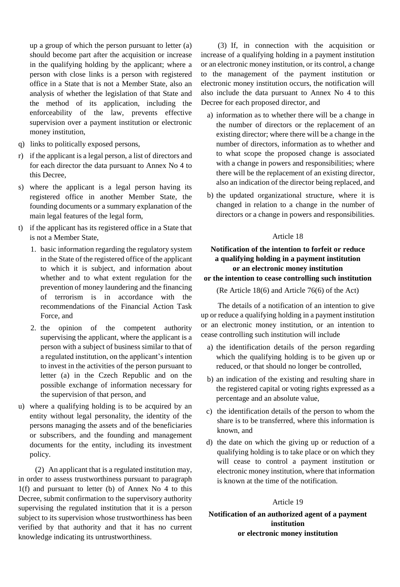up a group of which the person pursuant to letter (a) should become part after the acquisition or increase in the qualifying holding by the applicant; where a person with close links is a person with registered office in a State that is not a Member State, also an analysis of whether the legislation of that State and the method of its application, including the enforceability of the law, prevents effective supervision over a payment institution or electronic money institution,

- q) links to politically exposed persons,
- r) if the applicant is a legal person, a list of directors and for each director the data pursuant to Annex No 4 to this Decree,
- s) where the applicant is a legal person having its registered office in another Member State, the founding documents or a summary explanation of the main legal features of the legal form,
- t) if the applicant has its registered office in a State that is not a Member State,
	- 1. basic information regarding the regulatory system in the State of the registered office of the applicant to which it is subject, and information about whether and to what extent regulation for the prevention of money laundering and the financing of terrorism is in accordance with the recommendations of the Financial Action Task Force, and
	- 2. the opinion of the competent authority supervising the applicant, where the applicant is a person with a subject of business similar to that of a regulated institution, on the applicant's intention to invest in the activities of the person pursuant to letter (a) in the Czech Republic and on the possible exchange of information necessary for the supervision of that person, and
- u) where a qualifying holding is to be acquired by an entity without legal personality, the identity of the persons managing the assets and of the beneficiaries or subscribers, and the founding and management documents for the entity, including its investment policy.

(2) An applicant that is a regulated institution may, in order to assess trustworthiness pursuant to paragraph 1(f) and pursuant to letter (b) of Annex No 4 to this Decree, submit confirmation to the supervisory authority supervising the regulated institution that it is a person subject to its supervision whose trustworthiness has been verified by that authority and that it has no current knowledge indicating its untrustworthiness.

(3) If, in connection with the acquisition or increase of a qualifying holding in a payment institution or an electronic money institution, or its control, a change to the management of the payment institution or electronic money institution occurs, the notification will also include the data pursuant to Annex No 4 to this Decree for each proposed director, and

- a) information as to whether there will be a change in the number of directors or the replacement of an existing director; where there will be a change in the number of directors, information as to whether and to what scope the proposed change is associated with a change in powers and responsibilities; where there will be the replacement of an existing director, also an indication of the director being replaced, and
- b) the updated organizational structure, where it is changed in relation to a change in the number of directors or a change in powers and responsibilities.

## Article 18

## **Notification of the intention to forfeit or reduce a qualifying holding in a payment institution or an electronic money institution or the intention to cease controlling such institution**

(Re Article 18(6) and Article 76(6) of the Act)

The details of a notification of an intention to give up or reduce a qualifying holding in a payment institution or an electronic money institution, or an intention to cease controlling such institution will include

- a) the identification details of the person regarding which the qualifying holding is to be given up or reduced, or that should no longer be controlled,
- b) an indication of the existing and resulting share in the registered capital or voting rights expressed as a percentage and an absolute value,
- c) the identification details of the person to whom the share is to be transferred, where this information is known, and
- d) the date on which the giving up or reduction of a qualifying holding is to take place or on which they will cease to control a payment institution or electronic money institution, where that information is known at the time of the notification.

## Article 19

**Notification of an authorized agent of a payment institution or electronic money institution**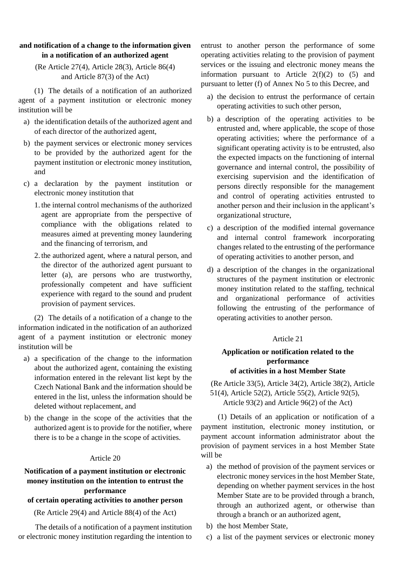## **and notification of a change to the information given in a notification of an authorized agent**

# (Re Article 27(4), Article 28(3), Article 86(4) and Article 87(3) of the Act)

(1) The details of a notification of an authorized agent of a payment institution or electronic money institution will be

- a) the identification details of the authorized agent and of each director of the authorized agent,
- b) the payment services or electronic money services to be provided by the authorized agent for the payment institution or electronic money institution, and
- c) a declaration by the payment institution or electronic money institution that
	- 1. the internal control mechanisms of the authorized agent are appropriate from the perspective of compliance with the obligations related to measures aimed at preventing money laundering and the financing of terrorism, and
	- 2. the authorized agent, where a natural person, and the director of the authorized agent pursuant to letter (a), are persons who are trustworthy, professionally competent and have sufficient experience with regard to the sound and prudent provision of payment services.

(2) The details of a notification of a change to the information indicated in the notification of an authorized agent of a payment institution or electronic money institution will be

- a) a specification of the change to the information about the authorized agent, containing the existing information entered in the relevant list kept by the Czech National Bank and the information should be entered in the list, unless the information should be deleted without replacement, and
- b) the change in the scope of the activities that the authorized agent is to provide for the notifier, where there is to be a change in the scope of activities.

# Article 20

# **Notification of a payment institution or electronic money institution on the intention to entrust the performance**

# **of certain operating activities to another person**

(Re Article 29(4) and Article 88(4) of the Act)

The details of a notification of a payment institution or electronic money institution regarding the intention to

entrust to another person the performance of some operating activities relating to the provision of payment services or the issuing and electronic money means the information pursuant to Article  $2(f)(2)$  to  $(5)$  and pursuant to letter (f) of Annex No 5 to this Decree, and

- a) the decision to entrust the performance of certain operating activities to such other person,
- b) a description of the operating activities to be entrusted and, where applicable, the scope of those operating activities; where the performance of a significant operating activity is to be entrusted, also the expected impacts on the functioning of internal governance and internal control, the possibility of exercising supervision and the identification of persons directly responsible for the management and control of operating activities entrusted to another person and their inclusion in the applicant's organizational structure,
- c) a description of the modified internal governance and internal control framework incorporating changes related to the entrusting of the performance of operating activities to another person, and
- d) a description of the changes in the organizational structures of the payment institution or electronic money institution related to the staffing, technical and organizational performance of activities following the entrusting of the performance of operating activities to another person.

# Article 21

# **Application or notification related to the performance of activities in a host Member State**

(Re Article 33(5), Article 34(2), Article 38(2), Article 51(4), Article 52(2), Article 55(2), Article 92(5), Article 93(2) and Article 96(2) of the Act)

(1) Details of an application or notification of a payment institution, electronic money institution, or payment account information administrator about the provision of payment services in a host Member State will be

- a) the method of provision of the payment services or electronic money services in the host Member State, depending on whether payment services in the host Member State are to be provided through a branch, through an authorized agent, or otherwise than through a branch or an authorized agent,
- b) the host Member State,
- c) a list of the payment services or electronic money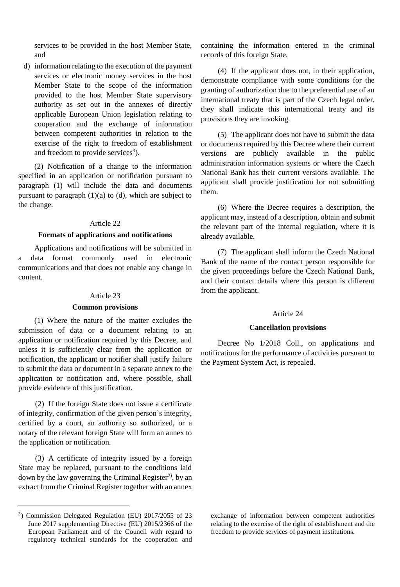services to be provided in the host Member State, and

d) information relating to the execution of the payment services or electronic money services in the host Member State to the scope of the information provided to the host Member State supervisory authority as set out in the annexes of directly applicable European Union legislation relating to cooperation and the exchange of information between competent authorities in relation to the exercise of the right to freedom of establishment and freedom to provide services<sup>3</sup>).

(2) Notification of a change to the information specified in an application or notification pursuant to paragraph (1) will include the data and documents pursuant to paragraph  $(1)(a)$  to  $(d)$ , which are subject to the change.

#### Article 22

## **Formats of applications and notifications**

Applications and notifications will be submitted in a data format commonly used in electronic communications and that does not enable any change in content.

#### Article 23

#### **Common provisions**

(1) Where the nature of the matter excludes the submission of data or a document relating to an application or notification required by this Decree, and unless it is sufficiently clear from the application or notification, the applicant or notifier shall justify failure to submit the data or document in a separate annex to the application or notification and, where possible, shall provide evidence of this justification.

(2) If the foreign State does not issue a certificate of integrity, confirmation of the given person's integrity, certified by a court, an authority so authorized, or a notary of the relevant foreign State will form an annex to the application or notification.

(3) A certificate of integrity issued by a foreign State may be replaced, pursuant to the conditions laid down by the law governing the Criminal Register<sup>2)</sup>, by an extract from the Criminal Register together with an annex

l

containing the information entered in the criminal records of this foreign State.

(4) If the applicant does not, in their application, demonstrate compliance with some conditions for the granting of authorization due to the preferential use of an international treaty that is part of the Czech legal order, they shall indicate this international treaty and its provisions they are invoking.

(5) The applicant does not have to submit the data or documents required by this Decree where their current versions are publicly available in the public administration information systems or where the Czech National Bank has their current versions available. The applicant shall provide justification for not submitting them.

(6) Where the Decree requires a description, the applicant may, instead of a description, obtain and submit the relevant part of the internal regulation, where it is already available.

(7) The applicant shall inform the Czech National Bank of the name of the contact person responsible for the given proceedings before the Czech National Bank, and their contact details where this person is different from the applicant.

#### Article 24

#### **Cancellation provisions**

Decree No 1/2018 Coll., on applications and notifications for the performance of activities pursuant to the Payment System Act, is repealed.

<sup>3</sup> ) Commission Delegated Regulation (EU) 2017/2055 of 23 June 2017 supplementing Directive (EU) 2015/2366 of the European Parliament and of the Council with regard to regulatory technical standards for the cooperation and

exchange of information between competent authorities relating to the exercise of the right of establishment and the freedom to provide services of payment institutions.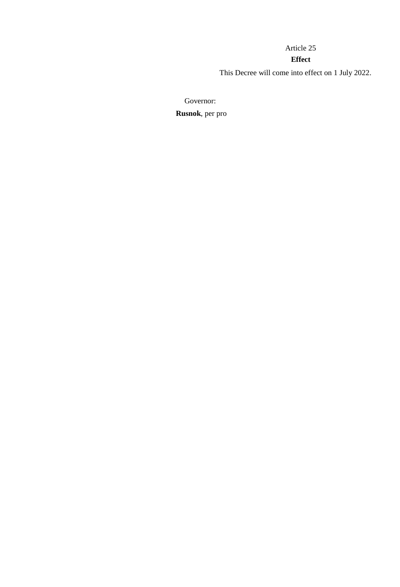# Article 25

# **Effect**

This Decree will come into effect on 1 July 2022.

Governor:

**Rusnok**, per pro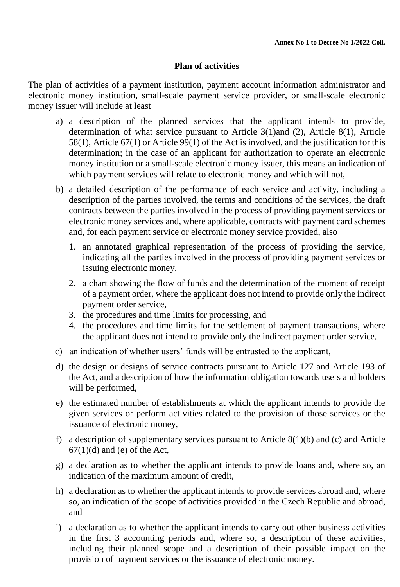# **Plan of activities**

The plan of activities of a payment institution, payment account information administrator and electronic money institution, small-scale payment service provider, or small-scale electronic money issuer will include at least

- a) a description of the planned services that the applicant intends to provide, determination of what service pursuant to Article 3(1)and (2), Article 8(1), Article 58(1), Article 67(1) or Article 99(1) of the Act is involved, and the justification for this determination; in the case of an applicant for authorization to operate an electronic money institution or a small-scale electronic money issuer, this means an indication of which payment services will relate to electronic money and which will not,
- b) a detailed description of the performance of each service and activity, including a description of the parties involved, the terms and conditions of the services, the draft contracts between the parties involved in the process of providing payment services or electronic money services and, where applicable, contracts with payment card schemes and, for each payment service or electronic money service provided, also
	- 1. an annotated graphical representation of the process of providing the service, indicating all the parties involved in the process of providing payment services or issuing electronic money,
	- 2. a chart showing the flow of funds and the determination of the moment of receipt of a payment order, where the applicant does not intend to provide only the indirect payment order service,
	- 3. the procedures and time limits for processing, and
	- 4. the procedures and time limits for the settlement of payment transactions, where the applicant does not intend to provide only the indirect payment order service,
- c) an indication of whether users' funds will be entrusted to the applicant,
- d) the design or designs of service contracts pursuant to Article 127 and Article 193 of the Act, and a description of how the information obligation towards users and holders will be performed,
- e) the estimated number of establishments at which the applicant intends to provide the given services or perform activities related to the provision of those services or the issuance of electronic money,
- f) a description of supplementary services pursuant to Article  $8(1)(b)$  and  $(c)$  and Article  $67(1)(d)$  and (e) of the Act,
- g) a declaration as to whether the applicant intends to provide loans and, where so, an indication of the maximum amount of credit,
- h) a declaration as to whether the applicant intends to provide services abroad and, where so, an indication of the scope of activities provided in the Czech Republic and abroad, and
- i) a declaration as to whether the applicant intends to carry out other business activities in the first 3 accounting periods and, where so, a description of these activities, including their planned scope and a description of their possible impact on the provision of payment services or the issuance of electronic money.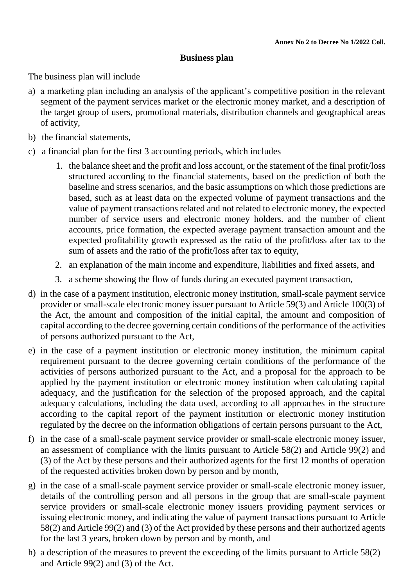# **Business plan**

The business plan will include

- a) a marketing plan including an analysis of the applicant's competitive position in the relevant segment of the payment services market or the electronic money market, and a description of the target group of users, promotional materials, distribution channels and geographical areas of activity,
- b) the financial statements,
- c) a financial plan for the first 3 accounting periods, which includes
	- 1. the balance sheet and the profit and loss account, or the statement of the final profit/loss structured according to the financial statements, based on the prediction of both the baseline and stress scenarios, and the basic assumptions on which those predictions are based, such as at least data on the expected volume of payment transactions and the value of payment transactions related and not related to electronic money, the expected number of service users and electronic money holders. and the number of client accounts, price formation, the expected average payment transaction amount and the expected profitability growth expressed as the ratio of the profit/loss after tax to the sum of assets and the ratio of the profit/loss after tax to equity,
	- 2. an explanation of the main income and expenditure, liabilities and fixed assets, and
	- 3. a scheme showing the flow of funds during an executed payment transaction,
- d) in the case of a payment institution, electronic money institution, small-scale payment service provider or small-scale electronic money issuer pursuant to Article 59(3) and Article 100(3) of the Act, the amount and composition of the initial capital, the amount and composition of capital according to the decree governing certain conditions of the performance of the activities of persons authorized pursuant to the Act,
- e) in the case of a payment institution or electronic money institution, the minimum capital requirement pursuant to the decree governing certain conditions of the performance of the activities of persons authorized pursuant to the Act, and a proposal for the approach to be applied by the payment institution or electronic money institution when calculating capital adequacy, and the justification for the selection of the proposed approach, and the capital adequacy calculations, including the data used, according to all approaches in the structure according to the capital report of the payment institution or electronic money institution regulated by the decree on the information obligations of certain persons pursuant to the Act,
- f) in the case of a small-scale payment service provider or small-scale electronic money issuer, an assessment of compliance with the limits pursuant to Article 58(2) and Article 99(2) and (3) of the Act by these persons and their authorized agents for the first 12 months of operation of the requested activities broken down by person and by month,
- g) in the case of a small-scale payment service provider or small-scale electronic money issuer, details of the controlling person and all persons in the group that are small-scale payment service providers or small-scale electronic money issuers providing payment services or issuing electronic money, and indicating the value of payment transactions pursuant to Article 58(2) and Article 99(2) and (3) of the Act provided by these persons and their authorized agents for the last 3 years, broken down by person and by month, and
- h) a description of the measures to prevent the exceeding of the limits pursuant to Article 58(2) and Article 99(2) and (3) of the Act.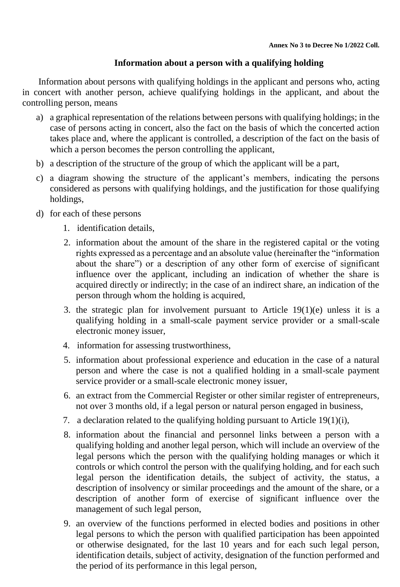# **Information about a person with a qualifying holding**

Information about persons with qualifying holdings in the applicant and persons who, acting in concert with another person, achieve qualifying holdings in the applicant, and about the controlling person, means

- a) a graphical representation of the relations between persons with qualifying holdings; in the case of persons acting in concert, also the fact on the basis of which the concerted action takes place and, where the applicant is controlled, a description of the fact on the basis of which a person becomes the person controlling the applicant,
- b) a description of the structure of the group of which the applicant will be a part,
- c) a diagram showing the structure of the applicant's members, indicating the persons considered as persons with qualifying holdings, and the justification for those qualifying holdings,
- d) for each of these persons
	- 1. identification details,
	- 2. information about the amount of the share in the registered capital or the voting rights expressed as a percentage and an absolute value (hereinafter the "information about the share") or a description of any other form of exercise of significant influence over the applicant, including an indication of whether the share is acquired directly or indirectly; in the case of an indirect share, an indication of the person through whom the holding is acquired,
	- 3. the strategic plan for involvement pursuant to Article 19(1)(e) unless it is a qualifying holding in a small-scale payment service provider or a small-scale electronic money issuer,
	- 4. information for assessing trustworthiness,
	- 5. information about professional experience and education in the case of a natural person and where the case is not a qualified holding in a small-scale payment service provider or a small-scale electronic money issuer,
	- 6. an extract from the Commercial Register or other similar register of entrepreneurs, not over 3 months old, if a legal person or natural person engaged in business,
	- 7. a declaration related to the qualifying holding pursuant to Article 19(1)(i),
	- 8. information about the financial and personnel links between a person with a qualifying holding and another legal person, which will include an overview of the legal persons which the person with the qualifying holding manages or which it controls or which control the person with the qualifying holding, and for each such legal person the identification details, the subject of activity, the status, a description of insolvency or similar proceedings and the amount of the share, or a description of another form of exercise of significant influence over the management of such legal person,
	- 9. an overview of the functions performed in elected bodies and positions in other legal persons to which the person with qualified participation has been appointed or otherwise designated, for the last 10 years and for each such legal person, identification details, subject of activity, designation of the function performed and the period of its performance in this legal person,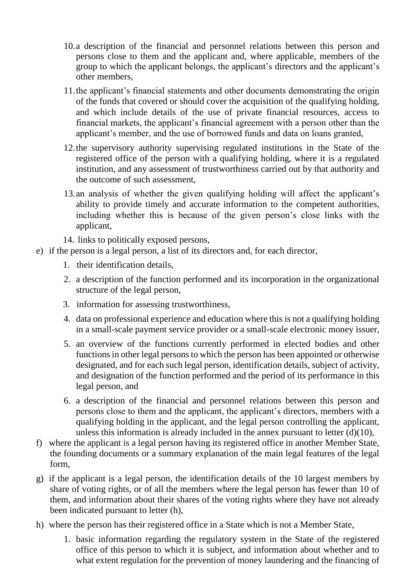- 10.a description of the financial and personnel relations between this person and persons close to them and the applicant and, where applicable, members of the group to which the applicant belongs, the applicant's directors and the applicant's other members,
- 11.the applicant's financial statements and other documents demonstrating the origin of the funds that covered or should cover the acquisition of the qualifying holding, and which include details of the use of private financial resources, access to financial markets, the applicant's financial agreement with a person other than the applicant's member, and the use of borrowed funds and data on loans granted,
- 12.the supervisory authority supervising regulated institutions in the State of the registered office of the person with a qualifying holding, where it is a regulated institution, and any assessment of trustworthiness carried out by that authority and the outcome of such assessment,
- 13.an analysis of whether the given qualifying holding will affect the applicant's ability to provide timely and accurate information to the competent authorities, including whether this is because of the given person's close links with the applicant,
- 14. links to politically exposed persons,
- e) if the person is a legal person, a list of its directors and, for each director,
	- 1. their identification details,
	- 2. a description of the function performed and its incorporation in the organizational structure of the legal person,
	- 3. information for assessing trustworthiness,
	- 4. data on professional experience and education where this is not a qualifying holding in a small-scale payment service provider or a small-scale electronic money issuer,
	- 5. an overview of the functions currently performed in elected bodies and other functions in other legal persons to which the person has been appointed or otherwise designated, and for each such legal person, identification details, subject of activity, and designation of the function performed and the period of its performance in this legal person, and
	- 6. a description of the financial and personnel relations between this person and persons close to them and the applicant, the applicant's directors, members with a qualifying holding in the applicant, and the legal person controlling the applicant, unless this information is already included in the annex pursuant to letter  $(d)(10)$ ,
- f) where the applicant is a legal person having its registered office in another Member State, the founding documents or a summary explanation of the main legal features of the legal form,
- g) if the applicant is a legal person, the identification details of the 10 largest members by share of voting rights, or of all the members where the legal person has fewer than 10 of them, and information about their shares of the voting rights where they have not already been indicated pursuant to letter (h),
- h) where the person has their registered office in a State which is not a Member State,
	- 1. basic information regarding the regulatory system in the State of the registered office of this person to which it is subject, and information about whether and to what extent regulation for the prevention of money laundering and the financing of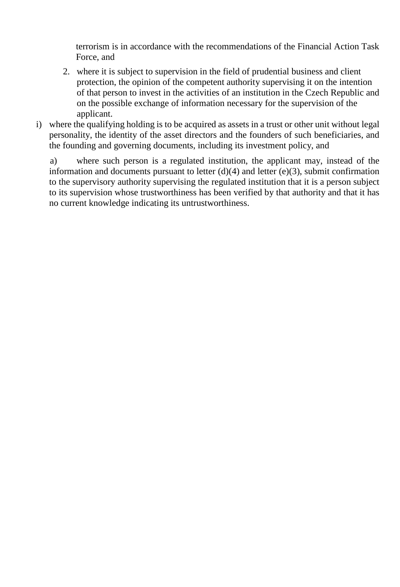terrorism is in accordance with the recommendations of the Financial Action Task Force, and

- 2. where it is subject to supervision in the field of prudential business and client protection, the opinion of the competent authority supervising it on the intention of that person to invest in the activities of an institution in the Czech Republic and on the possible exchange of information necessary for the supervision of the applicant.
- i) where the qualifying holding is to be acquired as assets in a trust or other unit without legal personality, the identity of the asset directors and the founders of such beneficiaries, and the founding and governing documents, including its investment policy, and

a) where such person is a regulated institution, the applicant may, instead of the information and documents pursuant to letter  $(d)(4)$  and letter  $(e)(3)$ , submit confirmation to the supervisory authority supervising the regulated institution that it is a person subject to its supervision whose trustworthiness has been verified by that authority and that it has no current knowledge indicating its untrustworthiness.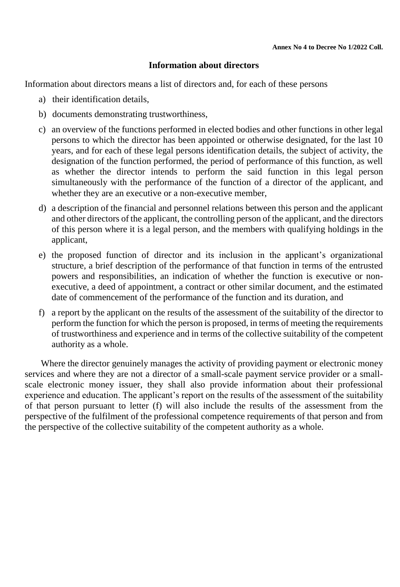# **Information about directors**

Information about directors means a list of directors and, for each of these persons

- a) their identification details,
- b) documents demonstrating trustworthiness,
- c) an overview of the functions performed in elected bodies and other functions in other legal persons to which the director has been appointed or otherwise designated, for the last 10 years, and for each of these legal persons identification details, the subject of activity, the designation of the function performed, the period of performance of this function, as well as whether the director intends to perform the said function in this legal person simultaneously with the performance of the function of a director of the applicant, and whether they are an executive or a non-executive member,
- d) a description of the financial and personnel relations between this person and the applicant and other directors of the applicant, the controlling person of the applicant, and the directors of this person where it is a legal person, and the members with qualifying holdings in the applicant,
- e) the proposed function of director and its inclusion in the applicant's organizational structure, a brief description of the performance of that function in terms of the entrusted powers and responsibilities, an indication of whether the function is executive or nonexecutive, a deed of appointment, a contract or other similar document, and the estimated date of commencement of the performance of the function and its duration, and
- f) a report by the applicant on the results of the assessment of the suitability of the director to perform the function for which the person is proposed, in terms of meeting the requirements of trustworthiness and experience and in terms of the collective suitability of the competent authority as a whole.

Where the director genuinely manages the activity of providing payment or electronic money services and where they are not a director of a small-scale payment service provider or a smallscale electronic money issuer, they shall also provide information about their professional experience and education. The applicant's report on the results of the assessment of the suitability of that person pursuant to letter (f) will also include the results of the assessment from the perspective of the fulfilment of the professional competence requirements of that person and from the perspective of the collective suitability of the competent authority as a whole.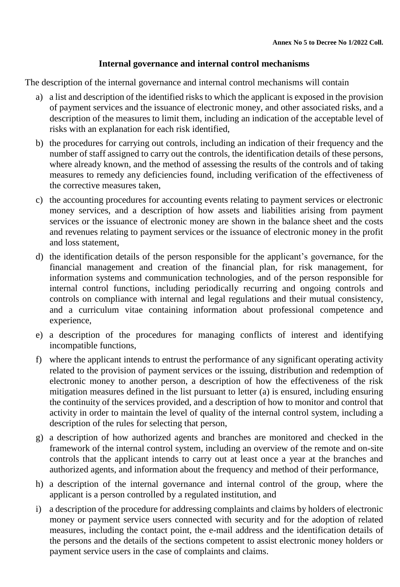# **Internal governance and internal control mechanisms**

The description of the internal governance and internal control mechanisms will contain

- a) a list and description of the identified risks to which the applicant is exposed in the provision of payment services and the issuance of electronic money, and other associated risks, and a description of the measures to limit them, including an indication of the acceptable level of risks with an explanation for each risk identified,
- b) the procedures for carrying out controls, including an indication of their frequency and the number of staff assigned to carry out the controls, the identification details of these persons, where already known, and the method of assessing the results of the controls and of taking measures to remedy any deficiencies found, including verification of the effectiveness of the corrective measures taken,
- c) the accounting procedures for accounting events relating to payment services or electronic money services, and a description of how assets and liabilities arising from payment services or the issuance of electronic money are shown in the balance sheet and the costs and revenues relating to payment services or the issuance of electronic money in the profit and loss statement,
- d) the identification details of the person responsible for the applicant's governance, for the financial management and creation of the financial plan, for risk management, for information systems and communication technologies, and of the person responsible for internal control functions, including periodically recurring and ongoing controls and controls on compliance with internal and legal regulations and their mutual consistency, and a curriculum vitae containing information about professional competence and experience,
- e) a description of the procedures for managing conflicts of interest and identifying incompatible functions,
- f) where the applicant intends to entrust the performance of any significant operating activity related to the provision of payment services or the issuing, distribution and redemption of electronic money to another person, a description of how the effectiveness of the risk mitigation measures defined in the list pursuant to letter (a) is ensured, including ensuring the continuity of the services provided, and a description of how to monitor and control that activity in order to maintain the level of quality of the internal control system, including a description of the rules for selecting that person,
- g) a description of how authorized agents and branches are monitored and checked in the framework of the internal control system, including an overview of the remote and on-site controls that the applicant intends to carry out at least once a year at the branches and authorized agents, and information about the frequency and method of their performance,
- h) a description of the internal governance and internal control of the group, where the applicant is a person controlled by a regulated institution, and
- i) a description of the procedure for addressing complaints and claims by holders of electronic money or payment service users connected with security and for the adoption of related measures, including the contact point, the e-mail address and the identification details of the persons and the details of the sections competent to assist electronic money holders or payment service users in the case of complaints and claims.